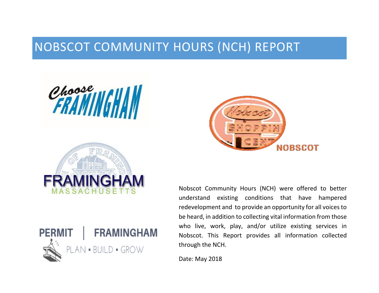# NOBSCOT COMMUNITY HOURS (NCH) REPORT

Choose WINGHAM







Nobscot Community Hours (NCH) were offered to better understand existing conditions that have hampered redevelopment and to provide an opportunity for all voices to be heard, in addition to collecting vital information from those who live, work, play, and/or utilize existing services in Nobscot. This Report provides all information collected through the NCH.

Date: May 2018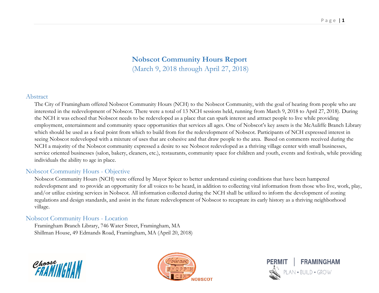# **Nobscot Community Hours Report**  (March 9, 2018 through April 27, 2018)

#### Abstract

The City of Framingham offered Nobscot Community Hours (NCH) to the Nobscot Community, with the goal of hearing from people who are interested in the redevelopment of Nobscot. There were a total of 13 NCH sessions held, running from March 9, 2018 to April 27, 2018). During the NCH it was echoed that Nobscot needs to be redeveloped as a place that can spark interest and attract people to live while providing employment, entertainment and community space opportunities that services all ages. One of Nobscot's key assets is the McAuliffe Branch Library which should be used as a focal point from which to build from for the redevelopment of Nobscot. Participants of NCH expressed interest in seeing Nobscot redeveloped with a mixture of uses that are cohesive and that draw people to the area. Based on comments received during the NCH a majority of the Nobscot community expressed a desire to see Nobscot redeveloped as a thriving village center with small businesses, service oriented businesses (salon, bakery, cleaners, etc.), restaurants, community space for children and youth, events and festivals, while providing individuals the ability to age in place.

# Nobscot Community Hours - Objective

Nobscot Community Hours (NCH) were offered by Mayor Spicer to better understand existing conditions that have been hampered redevelopment and to provide an opportunity for all voices to be heard, in addition to collecting vital information from those who live, work, play, and/or utilize existing services in Nobscot. All information collected during the NCH shall be utilized to inform the development of zoning regulations and design standards, and assist in the future redevelopment of Nobscot to recapture its early history as a thriving neighborhood village.

# Nobscot Community Hours - Location

Framingham Branch Library, 746 Water Street, Framingham, MA Shillman House, 49 Edmands Road, Framingham, MA (April 20, 2018)





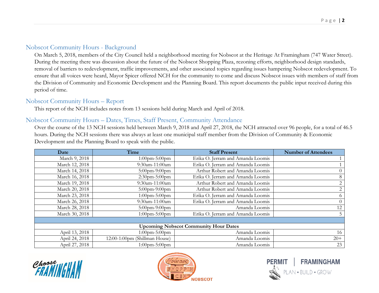# Nobscot Community Hours - Background

On March 5, 2018, members of the City Council held a neighborhood meeting for Nobscot at the Heritage At Framingham (747 Water Street). During the meeting there was discussion about the future of the Nobscot Shopping Plaza, rezoning efforts, neighborhood design standards, removal of barriers to redevelopment, traffic improvements, and other associated topics regarding issues hampering Nobscot redevelopment. To ensure that all voices were heard, Mayor Spicer offered NCH for the community to come and discuss Nobscot issues with members of staff from the Division of Community and Economic Development and the Planning Board. This report documents the public input received during this period of time.

# Nobscot Community Hours – Report

This report of the NCH includes notes from 13 sessions held during March and April of 2018.

# Nobscot Community Hours – Dates, Times, Staff Present, Community Attendance

Over the course of the 13 NCH sessions held between March 9, 2018 and April 27, 2018, the NCH attracted over 96 people, for a total of 46.5 hours. During the NCH sessions there was always at least one municipal staff member from the Division of Community & Economic Development and the Planning Board to speak with the public.

| Date                                         | Time                          | <b>Staff Present</b>              | <b>Number of Attendees</b> |  |
|----------------------------------------------|-------------------------------|-----------------------------------|----------------------------|--|
| March 9, 2018                                | $1:00$ pm-5:00pm              | Erika O. Jerram and Amanda Loomis |                            |  |
| March 12, 2018                               | 9:30am-11:00am                | Erika O. Jerram and Amanda Loomis |                            |  |
| March 14, 2018                               | $5:00$ pm- $9:00$ pm          | Arthur Robert and Amanda Loomis   | $\overline{0}$             |  |
| March 16, 2018                               | $2:30$ pm- $5:00$ pm          | Erika O. Jerram and Amanda Loomis | 8                          |  |
| March 19, 2018                               | 9:30am-11:00am                | Arthur Robert and Amanda Loomis   | 2                          |  |
| March 20, 2018                               | $5:00$ pm- $9:00$ pm          | Arthur Robert and Amanda Loomis   | 2                          |  |
| March 23, 2018                               | $1:00$ pm-5:00pm              | Erika O. Jerram and Amanda Loomis | 6                          |  |
| March 26, 2018                               | 9:30am-11:00am                | Erika O. Jerram and Amanda Loomis | $\theta$                   |  |
| March 28, 2018                               | $5:00$ pm- $9:00$ pm          | Amanda Loomis                     | 12                         |  |
| March 30, 2018                               | $1:00$ pm-5:00pm              | Erika O. Jerram and Amanda Loomis | 5                          |  |
|                                              |                               |                                   |                            |  |
| <b>Upcoming Nobscot Community Hour Dates</b> |                               |                                   |                            |  |
| April 13, 2018                               | $1:00$ pm- $5:00$ pm          | Amanda Loomis                     | 16                         |  |
| April 24, 2018                               | 12:00-1:00pm (Shillman House) | Amanda Loomis                     | $20+$                      |  |
| April 27, 2018                               | $1:00$ pm-5:00pm              | Amanda Loomis                     | 23                         |  |





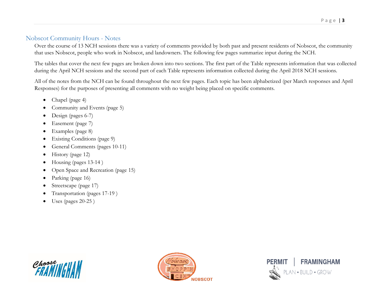# Nobscot Community Hours - Notes

Over the course of 13 NCH sessions there was a variety of comments provided by both past and present residents of Nobscot, the community that uses Nobscot, people who work in Nobscot, and landowners. The following few pages summarize input during the NCH.

The tables that cover the next few pages are broken down into two sections. The first part of the Table represents information that was collected during the April NCH sessions and the second part of each Table represents information collected during the April 2018 NCH sessions.

All of the notes from the NCH can be found throughout the next few pages. Each topic has been alphabetized (per March responses and April Responses) for the purposes of presenting all comments with no weight being placed on specific comments.

- Chapel (page 4)
- Community and Events (page 5)
- Design (pages 6-7)
- Easement (page 7)
- Examples (page 8)
- Existing Conditions (page 9)
- General Comments (pages 10-11)
- $\bullet$  History (page 12)
- $\bullet$  Housing (pages 13-14)
- Open Space and Recreation (page 15)
- Parking (page 16)
- Streetscape (page 17)
- Transportation (pages 17-19)
- $\bullet$  Uses (pages 20-25)





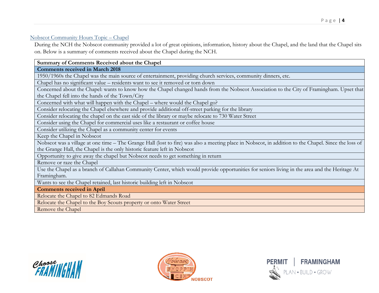#### Nobscot Community Hours Topic – Chapel

During the NCH the Nobscot community provided a lot of great opinions, information, history about the Chapel, and the land that the Chapel sits on. Below is a summary of comments received about the Chapel during the NCH.

#### **Summary of Comments Received about the Chapel**

**Comments received in March 2018**

1950/1960s the Chapel was the main source of entertainment, providing church services, community dinners, etc.

Chapel has no significant value – residents want to see it removed or torn down

Concerned about the Chapel: wants to know how the Chapel changed hands from the Nobscot Association to the City of Framingham. Upset that the Chapel fell into the hands of the Town/City

Concerned with what will happen with the Chapel – where would the Chapel go?

Consider relocating the Chapel elsewhere and provide additional off-street parking for the library

Consider relocating the chapel on the east side of the library or maybe relocate to 730 Water Street

Consider using the Chapel for commercial uses like a restaurant or coffee house

Consider utilizing the Chapel as a community center for events

Keep the Chapel in Nobscot

Nobscot was a village at one time – The Grange Hall (lost to fire) was also a meeting place in Nobscot, in addition to the Chapel. Since the loss of the Grange Hall, the Chapel is the only historic feature left in Nobscot

Opportunity to give away the chapel but Nobscot needs to get something in return

Remove or raze the Chapel

Use the Chapel as a branch of Callahan Community Center, which would provide opportunities for seniors living in the area and the Heritage At Framingham.

Wants to see the Chapel retained, last historic building left in Nobscot

**Comments received in April** 

Relocate the Chapel to 82 Edmands Road

Relocate the Chapel to the Boy Scouts property or onto Water Street

Remove the Chapel





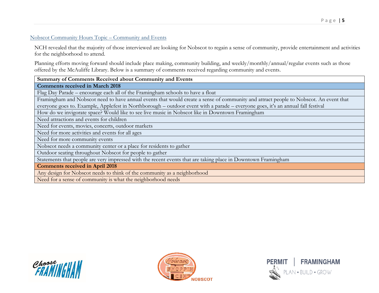## Nobscot Community Hours Topic – Community and Events

NCH revealed that the majority of those interviewed are looking for Nobscot to regain a sense of community, provide entertainment and activities for the neighborhood to attend.

Planning efforts moving forward should include place making, community building, and weekly/monthly/annual/regular events such as those offered by the McAuliffe Library. Below is a summary of comments received regarding community and events.

#### **Summary of Comments Received about Community and Events**

**Comments received in March 2018**

Flag Day Parade – encourage each all of the Framingham schools to have a float

Framingham and Nobscot need to have annual events that would create a sense of community and attract people to Nobscot. An event that everyone goes to. Example, Applefest in Northborough – outdoor event with a parade – everyone goes, it's an annual fall festival

How do we invigorate space? Would like to see live music in Nobscot like in Downtown Framingham

Need attractions and events for children

Need for events, movies, concerts, outdoor markets

Need for more activities and events for all ages

Need for more community events

Nobscot needs a community center or a place for residents to gather

Outdoor seating throughout Nobscot for people to gather

Statements that people are very impressed with the recent events that are taking place in Downtown Framingham

**Comments received in April 2018**

Any design for Nobscot needs to think of the community as a neighborhood

Need for a sense of community is what the neighborhood needs





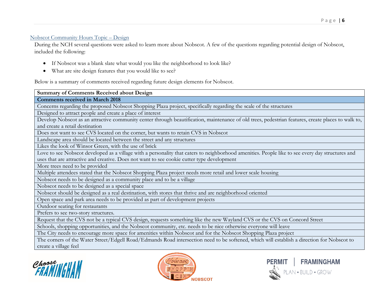# Nobscot Community Hours Topic – Design

During the NCH several questions were asked to learn more about Nobscot. A few of the questions regarding potential design of Nobscot, included the following:

- If Nobscot was a blank slate what would you like the neighborhood to look like?
- What are site design features that you would like to see?

Below is a summary of comments received regarding future design elements for Nobscot.

| <b>Summary of Comments Received about Design</b>                                                                                                   |  |  |
|----------------------------------------------------------------------------------------------------------------------------------------------------|--|--|
| <b>Comments received in March 2018</b>                                                                                                             |  |  |
| Concerns regarding the proposed Nobscot Shopping Plaza project, specifically regarding the scale of the structures                                 |  |  |
| Designed to attract people and create a place of interest                                                                                          |  |  |
| Develop Nobscot as an attractive community center through beautification, maintenance of old trees, pedestrian features, create places to walk to, |  |  |
| and create a retail destination                                                                                                                    |  |  |
| Does not want to see CVS located on the corner, but wants to retain CVS in Nobscot                                                                 |  |  |
| Landscape area should be located between the street and any structures                                                                             |  |  |
| Likes the look of Winsor Green, with the use of brick                                                                                              |  |  |
| Love to see Nobscot developed as a village with a personality that caters to neighborhood amenities. People like to see every day structures and   |  |  |
| uses that are attractive and creative. Does not want to see cookie cutter type development                                                         |  |  |
| More trees need to be provided                                                                                                                     |  |  |
| Multiple attendees stated that the Nobscot Shopping Plaza project needs more retail and lower scale housing                                        |  |  |
| Nobscot needs to be designed as a community place and to be a village                                                                              |  |  |
| Nobscot needs to be designed as a special space                                                                                                    |  |  |
| Nobscot should be designed as a real destination, with stores that thrive and are neighborhood oriented                                            |  |  |
| Open space and park area needs to be provided as part of development projects                                                                      |  |  |
| Outdoor seating for restaurants                                                                                                                    |  |  |
| Prefers to see two-story structures.                                                                                                               |  |  |
| Request that the CVS not be a typical CVS design, requests something like the new Wayland CVS or the CVS on Concord Street                         |  |  |
| Schools, shopping opportunities, and the Nobscot community, etc. needs to be nice otherwise everyone will leave                                    |  |  |
| The City needs to encourage more space for amenities within Nobscot and for the Nobscot Shopping Plaza project                                     |  |  |
| The corners of the Water Street/Edgell Road/Edmands Road intersection need to be softened, which will establish a direction for Nobscot to         |  |  |

The corners of the Water Street/Edgell Road/Edmands Road intersection need to be softened, which will establish a direction for Nobscot to create a village feel





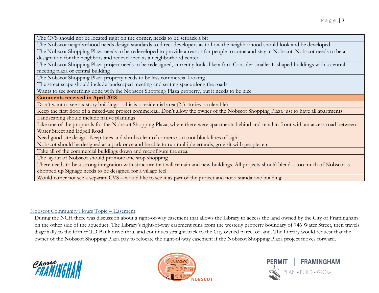The CVS should not be located right on the corner, needs to be setback a bit

The Nobscot neighborhood needs design standards to direct developers as to how the neighborhood should look and be developed

The Nobscot Shopping Plaza needs to be redeveloped to provide a reason for people to come and stay in Nobscot. Nobscot needs to be a designation for the neighbors and redeveloped as a neighborhood center

The Nobscot Shopping Plaza project needs to be redesigned, currently looks like a fort. Consider smaller L-shaped buildings with a central meeting plaza or central building

The Nobscot Shopping Plaza property needs to be less commercial looking

The street scape should include landscaped meeting and seating space along the roads

Wants to see something done with the Nobscot Shopping Plaza property, but it needs to be nice

**Comments received in April 2018**

Don't want to see six story buildings – this is a residential area (2.5 stories is tolerable)

Keep the first floor of a mixed-use project commercial. Don't allow the owner of the Nobscot Shopping Plaza just to have all apartments

Landscaping should include native plantings

Like one of the proposals for the Nobscot Shopping Plaza, where there were apartments behind and retail in front with an access road between Water Street and Edgell Road

Need good site design. Keep trees and shrubs clear of corners as to not block lines of sight

Nobscot should be designed as a park once and be able to run multiple errands, go visit with people, etc.

Take all of the commercial buildings down and reconfigure the area.

The layout of Nobscot should promote one stop shopping

There needs to be a strong integration with structure that will remain and new buildings. All projects should blend – too much of Nobscot is chopped up Signage needs to be designed for a village feel

Would rather not see a separate CVS – would like to see it as part of the project and not a standalone building

# Nobscot Community Hours Topic – Easement

During the NCH there was discussion about a right-of-way easement that allows the Library to access the land owned by the City of Framingham on the other side of the aqueduct. The Library's right-of-way easement runs from the westerly property boundary of 746 Water Street, then travels diagonally to the former TD Bank drive-thru, and continues straight back to the City owned parcel of land. The Library would request that the owner of the Nobscot Shopping Plaza pay to relocate the right-of-way easement if the Nobscot Shopping Plaza project moves forward.





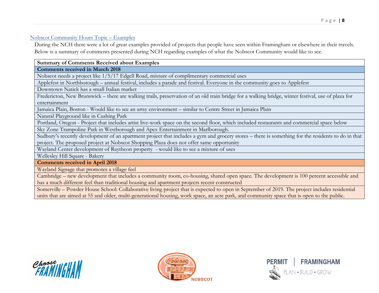## Nobscot Community Hours Topic – Examples

During the NCH there were a lot of great examples provided of projects that people have seen within Framingham or elsewhere in their travels. Below is a summary of comments presented during NCH regarding examples of what the Nobscot Community would like to see.

## **Summary of Comments Received about Examples**

**Comments received in March 2018**

Nobscot needs a project like 1/5/17 Edgell Road, mixture of complimentary commercial uses

Applefest in Northborough – annual festival, includes a parade and festival. Everyone in the community goes to Applefest

Downtown Natick has a small Italian market

Fredericton, New Brunswick – there are walking trails, preservation of an old train bridge for a walking bridge, winter festival, use of plaza for entertainment

Jamaica Plain, Boston - Would like to see an artsy environment – similar to Centre Street in Jamaica Plain

Natural Playground like in Cushing Park

Portland, Oregon - Project that includes artist live-work space on the second floor, which included restaurants and commercial space below

Sky Zone Trampoline Park in Westborough and Apex Entertainment in Marlborough.

Sudbury's recently development of an apartment project that includes a gym and grocery stores – there is something for the residents to do in that project. The proposed project at Nobscot Shopping Plaza does not offer same opportunity

Wayland Center development of Raytheon property - would like to see a mixture of uses

Wellesley Hill Square - Bakery

**Comments received in April 2018**

Wayland Signage that promotes a village feel

Cambridge – new development that includes a community room, co-housing, shared open space. The development is 100 percent accessible and has a much different feel than traditional housing and apartment projects recent constructed

Somerville – Powder House School: Collaborative living project that is expected to open in September of 2019. The project includes residential units that are aimed at 55 and older, multi-generational housing, work space, an acre park, and community space that is open to the public.





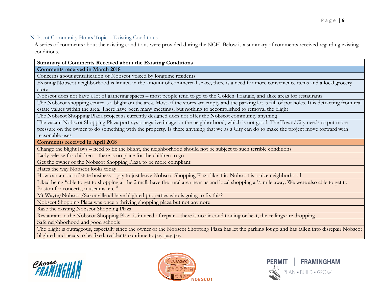#### Nobscot Community Hours Topic – Existing Conditions

A series of comments about the existing conditions were provided during the NCH. Below is a summary of comments received regarding existing conditions.

#### **Summary of Comments Received about the Existing Conditions**

**Comments received in March 2018**

Concerns about gentrification of Nobscot voiced by longtime residents

Existing Nobscot neighborhood is limited in the amount of commercial space, there is a need for more convenience items and a local grocery store

Nobscot does not have a lot of gathering spaces – most people tend to go to the Golden Triangle, and alike areas for restaurants

The Nobscot shopping center is a blight on the area. Most of the stores are empty and the parking lot is full of pot holes. It is detracting from real estate values within the area. There have been many meetings, but nothing to accomplished to removal the blight

The Nobscot Shopping Plaza project as currently designed does not offer the Nobscot community anything

The vacant Nobscot Shopping Plaza portrays a negative image on the neighborhood, which is not good. The Town/City needs to put more pressure on the owner to do something with the property. Is there anything that we as a City can do to make the project move forward with reasonable uses

**Comments received in April 2018**

Change the blight laws – need to fix the blight, the neighborhood should not be subject to such terrible conditions

Early release for children – there is no place for the children to go

Get the owner of the Nobscot Shopping Plaza to be more compliant

Hates the way Nobscot looks today

How can an out of state business – pay to just leave Nobscot Shopping Plaza like it is. Nobscot is a nice neighborhood

Liked being "able to get to shopping at the 2 mall, have the rural area near us and local shopping a ½ mile away. We were also able to get to Boston for concerts, museums, etc."

Mt Wayte/Nobscot/Saxonville all have blighted properties who is going to fix this?

Nobscot Shopping Plaza was once a thriving shopping plaza but not anymore

Raze the existing Nobscot Shopping Plaza

Restaurant in the Nobscot Shopping Plaza is in need of repair – there is no air conditioning or heat, the ceilings are dropping

Safe neighborhood and good schools

The blight is outrageous, especially since the owner of the Nobscot Shopping Plaza has let the parking lot go and has fallen into disrepair Nobscot blighted and needs to be fixed, residents continue to pay-pay-pay





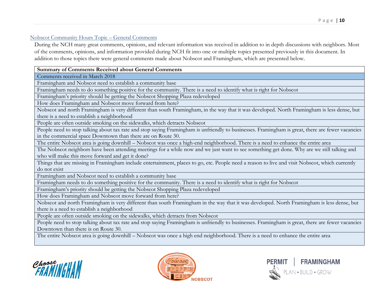#### Nobscot Community Hours Topic – General Comments

During the NCH many great comments, opinions, and relevant information was received in addition to in depth discussions with neighbors. Most of the comments, opinions, and information provided during NCH fit into one or multiple topics presented previously in this document. In addition to those topics there were general comments made about Nobscot and Framingham, which are presented below.

#### **Summary of Comments Received about General Comments**

Comments received in March 2018

Framingham and Nobscot need to establish a community base

Framingham needs to do something positive for the community. There is a need to identify what is right for Nobscot

Framingham's priority should be getting the Nobscot Shopping Plaza redeveloped

How does Framingham and Nobscot move forward from here?

Nobscot and north Framingham is very different than south Framingham, in the way that it was developed. North Framingham is less dense, but there is a need to establish a neighborhood

People are often outside smoking on the sidewalks, which detracts Nobscot

People need to stop talking about tax rate and stop saying Framingham is unfriendly to businesses. Framingham is great, there are fewer vacancies in the commercial space Downtown than there are on Route 30.

The entire Nobscot area is going downhill – Nobscot was once a high-end neighborhood. There is a need to enhance the entire area

The Nobscot neighbors have been attending meetings for a while now and we just want to see something get done. Why are we still talking and who will make this move forward and get it done?

Things that are missing in Framingham include entertainment, places to go, etc. People need a reason to live and visit Nobscot, which currently do not exist

Framingham and Nobscot need to establish a community base

Framingham needs to do something positive for the community. There is a need to identify what is right for Nobscot

Framingham's priority should be getting the Nobscot Shopping Plaza redeveloped

How does Framingham and Nobscot move forward from here?

Nobscot and north Framingham is very different than south Framingham in the way that it was developed. North Framingham is less dense, but there is a need to establish a neighborhood

People are often outside smoking on the sidewalks, which detracts from Nobscot

People need to stop talking about tax rate and stop saying Framingham is unfriendly to businesses. Framingham is great, there are fewer vacancies Downtown than there is on Route 30.

The entire Nobscot area is going downhill – Nobscot was once a high end neighborhood. There is a need to enhance the entire area





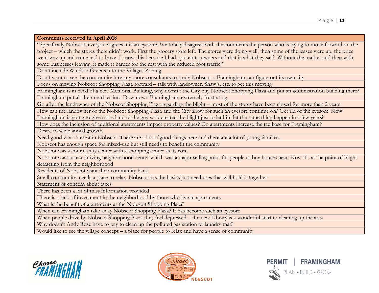**Comments received in April 2018**

"Specifically Nobscot, everyone agrees it is an eyesore. We totally disagrees with the comments the person who is trying to move forward on the project – which the stores there didn't work. First the grocery store left. The stores were doing well, then some of the leases were up, the price went way up and some had to leave. I know this because I had spoken to owners and that is what they said. Without the market and then with some businesses leaving, it made it harder for the rest with the reduced foot traffic."

Don't include Windsor Greens into the Villages Zoning

Don't want to see the community hire any more consultants to study Nobscot – Framingham can figure out its own city

Focus on moving Nobscot Shopping Plaza forward – talk with landowner, Shaw's, etc. to get this moving

Framingham is in need of a new Memorial Building, why doesn't the City buy Nobscot Shopping Plaza and put an administration building there? Framingham put all their marbles into Downtown Framingham, extremely frustrating

Go after the landowner of the Nobscot Shopping Plaza regarding the blight – most of the stores have been closed for more than 2 years

How can the landowner of the Nobscot Shopping Plaza and the City allow for such an eyesore continue on? Get rid of the eyesore! Now Framingham is going to give more land to the guy who created the blight just to let him let the same thing happen in a few years?

How does the inclusion of additional apartments impact property values? Do apartments increase the tax base for Framingham?

Desire to see planned growth

Need good vital interest in Nobscot. There are a lot of good things here and there are a lot of young families.

Nobscot has enough space for mixed-use but still needs to benefit the community

Nobscot was a community center with a shopping center as its core

Nobscot was once a thriving neighborhood center which was a major selling point for people to buy houses near. Now it's at the point of blight detracting from the neighborhood

Residents of Nobscot want their community back

Small community, needs a place to relax. Nobscot has the basics just need uses that will hold it together

Statement of concern about taxes

There has been a lot of miss information provided

There is a lack of investment in the neighborhood by those who live in apartments

What is the benefit of apartments at the Nobscot Shopping Plaza?

When can Framingham take away Nobscot Shopping Plaza? It has become such an eyesore

When people drive by Nobscot Shopping Plaza they feel depressed – the new Library is a wonderful start to cleaning up the area

Why doesn't Andy Rose have to pay to clean up the polluted gas station or laundry mat?

Would like to see the village concept – a place for people to relax and have a sense of community





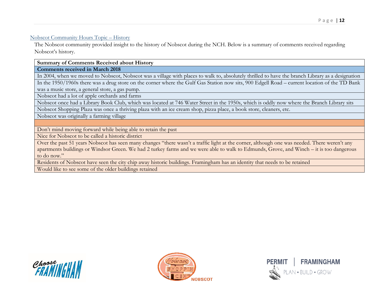#### Nobscot Community Hours Topic – History

The Nobscot community provided insight to the history of Nobscot during the NCH. Below is a summary of comments received regarding Nobscot's history.

**Summary of Comments Received about History**

**Comments received in March 2018**

In 2004, when we moved to Nobscot, Nobscot was a village with places to walk to, absolutely thrilled to have the branch Library as a designation

In the 1950/1960s there was a drug store on the corner where the Gulf Gas Station now sits, 900 Edgell Road – current location of the TD Bank was a music store, a general store, a gas pump.

Nobscot had a lot of apple orchards and farms

Nobscot once had a Library Book Club, which was located at 746 Water Street in the 1950s, which is oddly now where the Branch Library sits

Nobscot Shopping Plaza was once a thriving plaza with an ice cream shop, pizza place, a book store, cleaners, etc.

Nobscot was originally a farming village

Don't mind moving forward while being able to retain the past

Nice for Nobscot to be called a historic district

Over the past 51 years Nobscot has seen many changes "there wasn't a traffic light at the corner, although one was needed. There weren't any apartments buildings or Windsor Green. We had 2 turkey farms and we were able to walk to Edmunds, Grove, and Winch – it is too dangerous to do now."

Residents of Nobscot have seen the city chip away historic buildings. Framingham has an identity that needs to be retained

Would like to see some of the older buildings retained





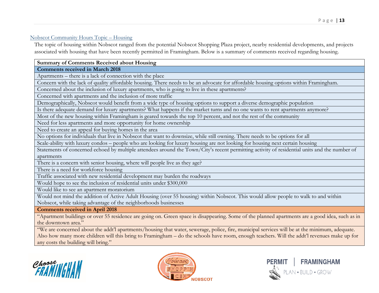#### Nobscot Community Hours Topic – Housing

The topic of housing within Nobscot ranged from the potential Nobscot Shopping Plaza project, nearby residential developments, and projects associated with housing that have been recently permitted in Framingham. Below is a summary of comments received regarding housing.

#### **Summary of Comments Received about Housing**

**Comments received in March 2018**

Apartments – there is a lack of connection with the place

Concern with the lack of quality affordable housing. There needs to be an advocate for affordable housing options within Framingham.

Concerned about the inclusion of luxury apartments, who is going to live in these apartments?

Concerned with apartments and the inclusion of more traffic

Demographically, Nobscot would benefit from a wide type of housing options to support a diverse demographic population

Is there adequate demand for luxury apartments? What happens if the market turns and no one wants to rent apartments anymore?

Most of the new housing within Framingham is geared towards the top 10 percent, and not the rest of the community

Need for less apartments and more opportunity for home ownership

Need to create an appeal for buying homes in the area

No options for individuals that live in Nobscot that want to downsize, while still owning. There needs to be options for all

Scale-ability with luxury condos – people who are looking for luxury housing are not looking for housing next certain housing

Statements of concerned echoed by multiple attendees around the Town/City's recent permitting activity of residential units and the number of apartments

There is a concern with senior housing, where will people live as they age?

There is a need for workforce housing

Traffic associated with new residential development may burden the roadways

Would hope to see the inclusion of residential units under \$300,000

Would like to see an apartment moratorium

Would not mind the addition of Active Adult Housing (over 55 housing) within Nobscot. This would allow people to walk to and within Nobscot, while taking advantage of the neighborhoods businesses

**Comments received in April 2018**

"Apartment buildings or over 55 residence are going on. Green space is disappearing. Some of the planned apartments are a good idea, such as in the downtown area."

"We are concerned about the addt'l apartments/housing that water, sewerage, police, fire, municipal services will be at the minimum, adequate. Also how many more children will this bring to Framingham – do the schools have room, enough teachers. Will the addt'l revenues make up for any costs the building will bring."





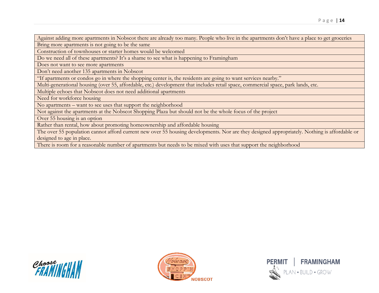Against adding more apartments in Nobscot there are already too many. People who live in the apartments don't have a place to get groceries

Bring more apartments is not going to be the same

Construction of townhouses or starter homes would be welcomed

Do we need all of these apartments? It's a shame to see what is happening to Framingham

Does not want to see more apartments

Don't need another 135 apartments in Nobscot

"If apartments or condos go in where the shopping center is, the residents are going to want services nearby."

Multi-generational housing (over 55, affordable, etc.) development that includes retail space, commercial space, park lands, etc.

Multiple echoes that Nobscot does not need additional apartments

Need for workforce housing

No apartments – want to see uses that support the neighborhood

Not against the apartments at the Nobscot Shopping Plaza but should not be the whole focus of the project

Over 55 housing is an option

Rather than rental, how about promoting homeownership and affordable housing

The over 55 population cannot afford current new over 55 housing developments. Nor are they designed appropriately. Nothing is affordable or designed to age in place.

There is room for a reasonable number of apartments but needs to be mixed with uses that support the neighborhood





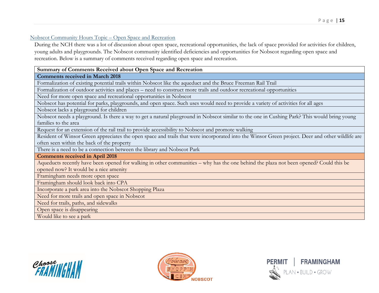#### Nobscot Community Hours Topic – Open Space and Recreation

During the NCH there was a lot of discussion about open space, recreational opportunities, the lack of space provided for activities for children, young adults and playgrounds. The Nobscot community identified deficiencies and opportunities for Nobscot regarding open space and recreation. Below is a summary of comments received regarding open space and recreation.

#### **Summary of Comments Received about Open Space and Recreation**

#### **Comments received in March 2018**

Formalization of existing potential trails within Nobscot like the aqueduct and the Bruce Freeman Rail Trail

Formalization of outdoor activities and places – need to construct more trails and outdoor recreational opportunities

Need for more open space and recreational opportunities in Nobscot

Nobscot has potential for parks, playgrounds, and open space. Such uses would need to provide a variety of activities for all ages

Nobscot lacks a playground for children

Nobscot needs a playground. Is there a way to get a natural playground in Nobscot similar to the one in Cushing Park? This would bring young families to the area

Request for an extension of the rail trail to provide accessibility to Nobscot and promote walking

Resident of Winsor Green appreciates the open space and trails that were incorporated into the Winsor Green project. Deer and other wildlife are often seen within the back of the property

There is a need to be a connection between the library and Nobscot Park

**Comments received in April 2018**

Aqueducts recently have been opened for walking in other communities – why has the one behind the plaza not been opened? Could this be opened now? It would be a nice amenity

Framingham needs more open space

Framingham should look back into CPA

Incorporate a park area into the Nobscot Shopping Plaza

Need for more trails and open space in Nobscot

Need for trails, paths, and sidewalks

Open space is disappearing

Would like to see a park





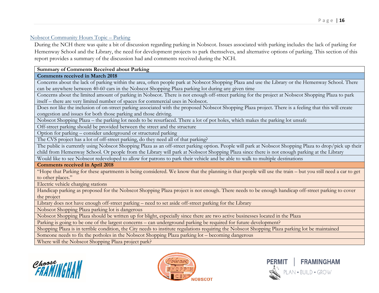## Nobscot Community Hours Topic – Parking

During the NCH there was quite a bit of discussion regarding parking in Nobscot. Issues associated with parking includes the lack of parking for Hemenway School and the Library, the need for development projects to park themselves, and alternative options of parking. This section of this report provides a summary of the discussion had and comments received during the NCH.

#### **Summary of Comments Received about Parking**

#### **Comments received in March 2018**

Concerns about the lack of parking within the area, often people park at Nobscot Shopping Plaza and use the Library or the Hemenway School. There can be anywhere between 40-60 cars in the Nobscot Shopping Plaza parking lot during any given time

Concerns about the limited amount of parking in Nobscot. There is not enough off-street parking for the project at Nobscot Shopping Plaza to park itself – there are very limited number of spaces for commercial uses in Nobscot.

Does not like the inclusion of on-street parking associated with the proposed Nobscot Shopping Plaza project. There is a feeling that this will create congestion and issues for both those parking and those driving.

Nobscot Shopping Plaza – the parking lot needs to be resurfaced. There a lot of pot holes, which makes the parking lot unsafe

Off-street parking should be provided between the street and the structure

Option for parking – consider underground or structured parking

The CVS project has a lot of off-street parking, do they need all of that parking?

The public is currently using Nobscot Shopping Plaza as an off-street parking option. People will park at Nobscot Shopping Plaza to drop/pick up their child from Hemenway School. Or people from the Library will park at Nobscot Shopping Plaza since there is not enough parking at the Library Would like to see Nobscot redeveloped to allow for patrons to park their vehicle and be able to walk to multiple destinations

**Comments received in April 2018**

"Hope that Parking for these apartments is being considered. We know that the planning is that people will use the train – but you still need a car to get to other places."

Electric vehicle charging stations

Handicap parking as proposed for the Nobscot Shopping Plaza project is not enough. There needs to be enough handicap off-street parking to cover the project

Library does not have enough off-street parking – need to set aside off-street parking for the Library

Nobscot Shopping Plaza parking lot is dangerous

Nobscot Shopping Plaza should be written up for blight, especially since there are two active businesses located in the Plaza

Parking is going to be one of the largest concerns – can underground parking be required for future development?

Shopping Plaza is in terrible condition, the City needs to institute regulations requiring the Nobscot Shopping Plaza parking lot be maintained

Someone needs to fix the potholes in the Nobscot Shopping Plaza parking lot – becoming dangerous

Where will the Nobscot Shopping Plaza project park?





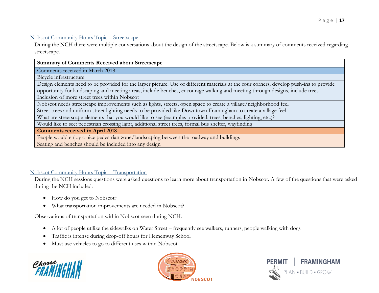#### Nobscot Community Hours Topic – Streetscape

During the NCH there were multiple conversations about the design of the streetscape. Below is a summary of comments received regarding streetscape.

| <b>Summary of Comments Received about Streetscape</b>                                                                                   |  |  |
|-----------------------------------------------------------------------------------------------------------------------------------------|--|--|
| Comments received in March 2018                                                                                                         |  |  |
| Bicycle infrastructure                                                                                                                  |  |  |
| Design elements need to be provided for the larger picture. Use of different materials at the four corners, develop push-ins to provide |  |  |
| opportunity for landscaping and meeting areas, include benches, encourage walking and meeting through designs, include trees            |  |  |
| Inclusion of more street trees within Nobscot                                                                                           |  |  |
| Nobscot needs streetscape improvements such as lights, streets, open space to create a village/neighborhood feel                        |  |  |
| Street trees and uniform street lighting needs to be provided like Downtown Framingham to create a village feel                         |  |  |
| What are streetscape elements that you would like to see (examples provided: trees, benches, lighting, etc.)?                           |  |  |
| Would like to see: pedestrian crossing light, additional street trees, formal bus shelter, wayfinding                                   |  |  |
| <b>Comments received in April 2018</b>                                                                                                  |  |  |
| People would enjoy a nice pedestrian zone/landscaping between the roadway and buildings                                                 |  |  |
| Seating and benches should be included into any design                                                                                  |  |  |

#### Nobscot Community Hours Topic – Transportation

During the NCH sessions questions were asked questions to learn more about transportation in Nobscot. A few of the questions that were asked during the NCH included:

- How do you get to Nobscot?
- What transportation improvements are needed in Nobscot?

Observations of transportation within Nobscot seen during NCH.

- A lot of people utilize the sidewalks on Water Street frequently see walkers, runners, people walking with dogs
- Traffic is intense during drop-off hours for Hemenway School
- Must use vehicles to go to different uses within Nobscot





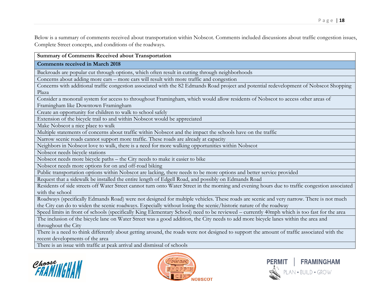Below is a summary of comments received about transportation within Nobscot. Comments included discussions about traffic congestion issues, Complete Street concepts, and conditions of the roadways.

#### **Summary of Comments Received about Transportation**

**Comments received in March 2018**

Backroads are popular cut through options, which often result in cutting through neighborhoods

Concerns about adding more cars – more cars will result with more traffic and congestion

Concerns with additional traffic congestion associated with the 82 Edmands Road project and potential redevelopment of Nobscot Shopping Plaza

Consider a monorail system for access to throughout Framingham, which would allow residents of Nobscot to access other areas of Framingham like Downtown Framingham

Create an opportunity for children to walk to school safely

Extension of the bicycle trail to and within Nobscot would be appreciated

Make Nobscot a nice place to walk

Multiple statements of concerns about traffic within Nobscot and the impact the schools have on the traffic

Narrow scenic roads cannot support more traffic. These roads are already at capacity

Neighbors in Nobscot love to walk, there is a need for more walking opportunities within Nobscot

Nobscot needs bicycle stations

Nobscot needs more bicycle paths – the City needs to make it easier to bike

Nobscot needs more options for on and off-road biking

Public transportation options within Nobscot are lacking, there needs to be more options and better service provided

Request that a sidewalk be installed the entire length of Edgell Road, and possibly on Edmands Road

Residents of side streets off Water Street cannot turn onto Water Street in the morning and evening hours due to traffic congestion associated with the school

Roadways (specifically Edmands Road) were not designed for multiple vehicles. These roads are scenic and very narrow. There is not much the City can do to widen the scenic roadways. Especially without losing the scenic/historic nature of the roadway

Speed limits in front of schools (specifically King Elementary School) need to be reviewed – currently 40mph which is too fast for the area

The inclusion of the bicycle lane on Water Street was a good addition, the City needs to add more bicycle lanes within the area and throughout the City

There is a need to think differently about getting around, the roads were not designed to support the amount of traffic associated with the recent developments of the area

There is an issue with traffic at peak arrival and dismissal of schools





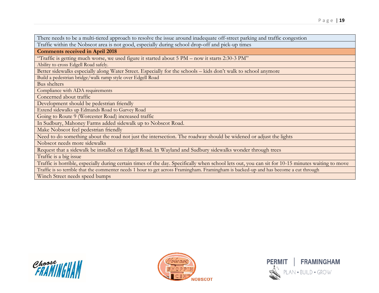There needs to be a multi-tiered approach to resolve the issue around inadequate off-street parking and traffic congestion

Traffic within the Nobscot area is not good, especially during school drop-off and pick-up times

**Comments received in April 2018**

"Traffic is getting much worse, we used figure it started about 5 PM – now it starts 2:30-3 PM"

Ability to cross Edgell Road safely.

Better sidewalks especially along Water Street. Especially for the schools – kids don't walk to school anymore

Build a pedestrian bridge/walk ramp style over Edgell Road

Bus shelters

Compliance with ADA requirements

Concerned about traffic

Development should be pedestrian friendly

Extend sidewalks up Edmands Road to Garvey Road

Going to Route 9 (Worcester Road) increased traffic

In Sudbury, Mahoney Farms added sidewalk up to Nobscot Road.

Make Nobscot feel pedestrian friendly

Need to do something about the road not just the intersection. The roadway should be widened or adjust the lights

Nobscot needs more sidewalks

Request that a sidewalk be installed on Edgell Road. In Wayland and Sudbury sidewalks wonder through trees

Traffic is a big issue

Traffic is horrible, especially during certain times of the day. Specifically when school lets out, you can sit for 10-15 minutes waiting to move

Traffic is so terrible that the commenter needs 1 hour to get across Framingham. Framingham is backed-up and has become a cut through

Winch Street needs speed bumps





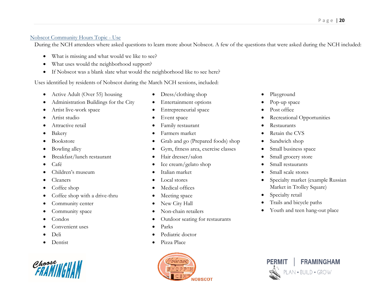## Nobscot Community Hours Topic - Use

During the NCH attendees where asked questions to learn more about Nobscot. A few of the questions that were asked during the NCH included:

- What is missing and what would we like to see?
- What uses would the neighborhood support?
- If Nobscot was a blank slate what would the neighborhood like to see here?

Uses identified by residents of Nobscot during the March NCH sessions, included:

- Active Adult (Over 55) housing
- Administration Buildings for the City
- Artist live-work space
- Artist studio
- Attractive retail
- Bakery
- Bookstore
- Bowling alley
- Breakfast/lunch restaurant
- $\bullet$  Café
- Children's museum
- Cleaners
- Coffee shop
- Coffee shop with a drive-thru
- Community center
- Community space
- Condos
- Convenient uses
- Deli
- Dentist



- Dress/clothing shop
- Entertainment options
- Entrepreneurial space
- Event space
- Family restaurant
- Farmers market
- Grab and go (Prepared foods) shop
- Gym, fitness area, exercise classes
- Hair dresser/salon
- Ice cream/gelato shop
- Italian market
- Local stores
- Medical offices
- Meeting space
- New City Hall
- Non-chain retailers
- Outdoor seating for restaurants
- Parks
- Pediatric doctor
- Pizza Place



- Playground
- Pop-up space
- Post office
- Recreational Opportunities
- Restaurants
- Retain the CVS
- Sandwich shop
- Small business space
- Small grocery store
- Small restaurants
- Small scale stores
- Specialty market (example Russian Market in Trolley Square)
- Specialty retail
- Trails and bicycle paths
- Youth and teen hang-out place

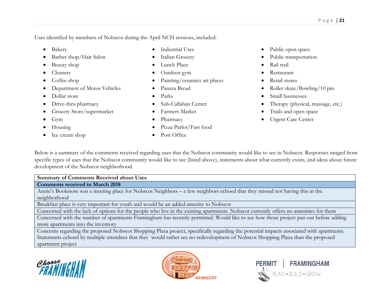Uses identified by members of Nobscot during the April NCH sessions, included:

- Bakery
- Barber shop/Hair Salon
- Beauty shop
- Cleaners
- Coffee shop
- Department of Motor Vehicles
- Dollar store
- Drive-thru pharmacy
- Grocery Store/supermarket
- Gym
- Housing
- Ice cream shop
- Industrial Uses
- Italian Grocery
- Lunch Place
- Outdoor gym
- Painting/ceramics art places
- Panera Bread
- Parks
- Sub-Callahan Center
- Farmers Market
- Pharmacy
- Pizza Parlor/Fast food
- Post Office
- Public open space
- Public transportation
- Rail trail
- Restaurant
- Retail stores
- Roller skate/Bowling/10 pin
- Small businesses
- Therapy (physical, massage, etc.)
- Trails and open space
- Urgent Care Center

Below is a summary of the comments received regarding uses that the Nobscot community would like to see in Nobscot. Responses ranged from specific types of uses that the Nobscot community would like to see (listed above), statements about what currently exists, and ideas about future development of the Nobscot neighborhood.

**Summary of Comments Received about Uses Comments received in March 2018** Annie's Bookstore was a meeting place for Nobscot Neighbors – a few neighbors echoed that they missed not having this in the

neighborhood

Breakfast place is very important for youth and would be an added amenity to Nobscot

Concerned with the lack of options for the people who live in the existing apartments. Nobscot currently offers no amenities for them

Concerned with the number of apartments Framingham has recently permitted. Would like to see how those project pan out before adding more apartments into the inventory

Concerns regarding the proposed Nobscot Shopping Plaza project, specifically regarding the potential impacts associated with apartments. Statements echoed by multiple attendees that they would rather see no redevelopment of Nobscot Shopping Plaza than the proposed apartment project





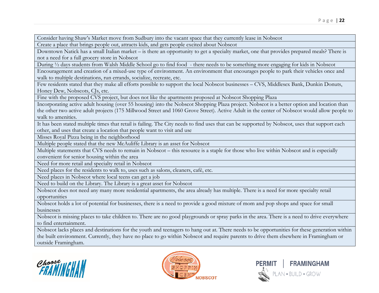Consider having Shaw's Market move from Sudbury into the vacant space that they currently lease in Nobscot

Create a place that brings people out, attracts kids, and gets people excited about Nobscot

Downtown Natick has a small Italian market – is there an opportunity to get a specialty market, one that provides prepared meals? There is not a need for a full grocery store in Nobscot

During ½ days students from Walsh Middle School go to find food - there needs to be something more engaging for kids in Nobscot

Encouragement and creation of a mixed-use type of environment. An environment that encourages people to park their vehicles once and walk to multiple destinations, run errands, socialize, recreate, etc.

Few residents stated that they make all efforts possible to support the local Nobscot businesses – CVS, Middlesex Bank, Dunkin Donuts, Honey Dew, Nobscots, CJs, etc.

Fine with the proposed CVS project, but does not like the apartments proposed at Nobscot Shopping Plaza

Incorporating active adult housing (over 55 housing) into the Nobscot Shopping Plaza project. Nobscot is a better option and location than the other two active adult projects (175 Millwood Street and 1060 Grove Street). Active Adult in the center of Nobscot would allow people to walk to amenities.

It has been stated multiple times that retail is failing. The City needs to find uses that can be supported by Nobscot, uses that support each other, and uses that create a location that people want to visit and use

Misses Royal Pizza being in the neighborhood

Multiple people stated that the new McAuliffe Library is an asset for Nobscot

Multiple statements that CVS needs to remain in Nobscot – this resource is a staple for those who live within Nobscot and is especially convenient for senior housing within the area

Need for more retail and specialty retail in Nobscot

Need places for the residents to walk to, uses such as salons, cleaners, café, etc.

Need places in Nobscot where local teens can get a job

Need to build on the Library. The Library is a great asset for Nobscot

Nobscot does not need any many more residential apartments, the area already has multiple. There is a need for more specialty retail opportunities

Nobscot holds a lot of potential for businesses, there is a need to provide a good mixture of mom and pop shops and space for small businesses

Nobscot is missing places to take children to. There are no good playgrounds or spray parks in the area. There is a need to drive everywhere to find entertainment.

Nobscot lacks places and destinations for the youth and teenagers to hang out at. There needs to be opportunities for these generation within the built environment. Currently, they have no place to go within Nobscot and require parents to drive them elsewhere in Framingham or outside Framingham.





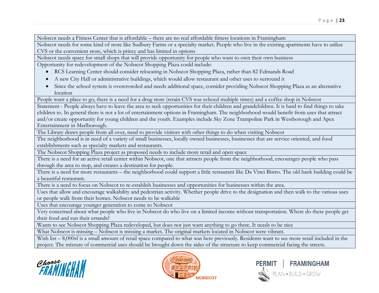Nobscot needs a Fitness Center that is affordable – there are no real affordable fitness locations in Framingham

Nobscot needs for some kind of store like Sudbury Farms or a specialty market. People who live in the existing apartments have to utilize CVS or the convenient store, which is pricey and has limited in options

Nobscot needs space for small shops that will provide opportunity for people who want to own their own business

Opportunity for redevelopment of the Nobscot Shopping Plaza could include:

- RCS Learning Center should consider relocating in Nobscot Shopping Plaza, rather than 82 Edmands Road
- A new City Hall or administrative buildings, which would allow restaurant and other uses to surround it
- Since the school system is overcrowded and needs additional space, consider providing Nobscot Shopping Plaza as an alternative location

People want a place to go, there is a need for a drug store (retain CVS was echoed multiple times) and a coffee shop in Nobscot

Statement - People always have to leave the area to seek opportunities for their children and grandchildren. It is hard to find things to take children to. In general there is not a lot of entertainment options in Framingham. The neighborhood would benefit from uses that attract and/or create opportunity for young children and the youth. Examples include Sky Zone Trampoline Park in Westborough and Apex Entertainment in Marlborough.

The Library draws people from all over, need to provide visitors with other things to do when visiting Nobscot

The neighborhood is in need of a variety of small businesses, locally owned businesses, businesses that are service oriented, and food establishments such as specialty markets and restaurants.

The Nobscot Shopping Plaza project as proposed needs to include more retail and open space

There is a need for an active retail center within Nobscot, one that attracts people from the neighborhood, encourages people who pass through the area to stop, and creates a destination for people.

There is a need for more restaurants – the neighborhood could support a little restaurant like Da Vinci Bistro. The old bank building could be a beautiful restaurant.

There is a need to focus on Nobscot to re-establish businesses and opportunities for businesses within the area.

Uses that allow and encourage walkability and pedestrian activity. Whether people drive to the designation and then walk to the various uses or people walk from their homes. Nobscot needs to be walkable

Uses that encourage younger generation to come to Nobscot

Very concerned about what people who live in Nobscot do who live on a limited income without transportation. Where do these people get their food and run their errands?

Wants to see Nobscot Shopping Plaza redeveloped, but does not just want anything to go there. It needs to be nice

What Nobscot is missing – Nobscot is missing a market. The original markets located in Nobscot were vibrant.

Wish list – 8,000sf is a small amount of retail space compared to what was here previously. Residents want to see more retail included in the project. The mixture of commercial uses should be brought down the sides of the structure to keep commercial facing the streets.





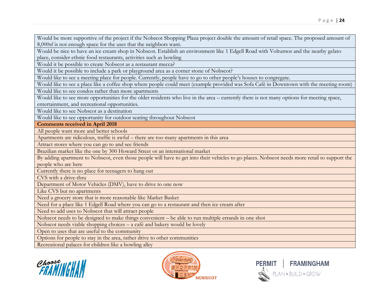Would be more supportive of the project if the Nobscot Shopping Plaza project double the amount of retail space. The proposed amount of 8,000sf is not enough space for the uses that the neighbors want.

Would be nice to have an ice cream shop in Nobscot. Establish an environment like 1 Edgell Road with Volturnos and the nearby gelato place, consider ethnic food restaurants, activities such as bowling

Would it be possible to create Nobscot as a restaurant mecca?

Would it be possible to include a park or playground area as a corner stone of Nobscot?

Would like to see a meeting place for people. Currently, people have to go to other people's houses to congregate.

Would like to see a place like a coffee shop where people could meet (example provided was Sofa Café in Downtown with the meeting room)

Would like to see condos rather than more apartments

Would like to see more opportunities for the older residents who live in the area – currently there is not many options for meeting space, entertainment, and recreational opportunities.

Would like to see Nobscot as a destination

Would like to see opportunity for outdoor seating throughout Nobscot

**Comments received in April 2018**

All people want more and better schools

Apartments are ridiculous, traffic is awful – there are too many apartments in this area

Attract stores where you can go to and see friends

Brazilian market like the one by 300 Howard Street or an international market

By adding apartment to Nobscot, even those people will have to get into their vehicles to go places. Nobscot needs more retail to support the people who are here

Currently there is no place for teenagers to hang out

CVS with a drive-thru

Department of Motor Vehicles (DMV), have to drive to one now

Like CVS but no apartments

Need a grocery store that is more reasonable like Market Basket

Need for a place like 1 Edgell Road where you can go to a restaurant and then ice cream after

Need to add uses to Nobscot that will attract people

Nobscot needs to be designed to make things convenient – be able to run multiple errands in one shot

Nobscot needs viable shopping choices – a café and bakery would be lovely

Open to uses that are useful to the community

Options for people to stay in the area, rather drive to other communities

Recreational palaces for children like a bowling alley